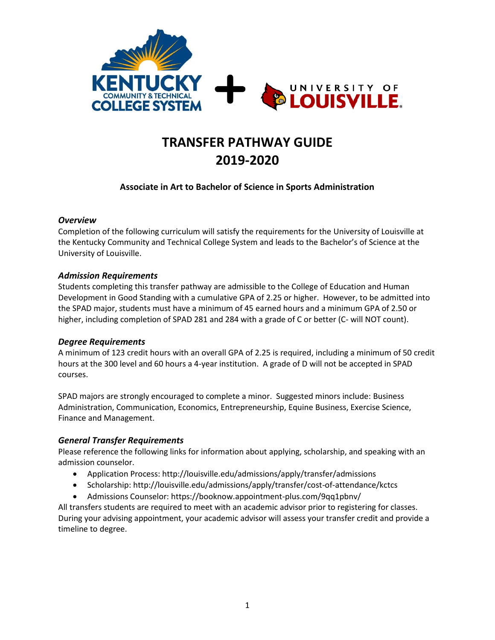

# **TRANSFER PATHWAY GUIDE 2019-2020**

## **Associate in Art to Bachelor of Science in Sports Administration**

#### *Overview*

Completion of the following curriculum will satisfy the requirements for the University of Louisville at the Kentucky Community and Technical College System and leads to the Bachelor's of Science at the University of Louisville.

#### *Admission Requirements*

Students completing this transfer pathway are admissible to the College of Education and Human Development in Good Standing with a cumulative GPA of 2.25 or higher. However, to be admitted into the SPAD major, students must have a minimum of 45 earned hours and a minimum GPA of 2.50 or higher, including completion of SPAD 281 and 284 with a grade of C or better (C- will NOT count).

#### *Degree Requirements*

A minimum of 123 credit hours with an overall GPA of 2.25 is required, including a minimum of 50 credit hours at the 300 level and 60 hours a 4-year institution. A grade of D will not be accepted in SPAD courses.

SPAD majors are strongly encouraged to complete a minor. Suggested minors include: Business Administration, Communication, Economics, Entrepreneurship, Equine Business, Exercise Science, Finance and Management.

#### *General Transfer Requirements*

Please reference the following links for information about applying, scholarship, and speaking with an admission counselor.

- Application Process: http://louisville.edu/admissions/apply/transfer/admissions
- Scholarship: http://louisville.edu/admissions/apply/transfer/cost-of-attendance/kctcs
- Admissions Counselor: https://booknow.appointment-plus.com/9qq1pbnv/

All transfers students are required to meet with an academic advisor prior to registering for classes. During your advising appointment, your academic advisor will assess your transfer credit and provide a timeline to degree.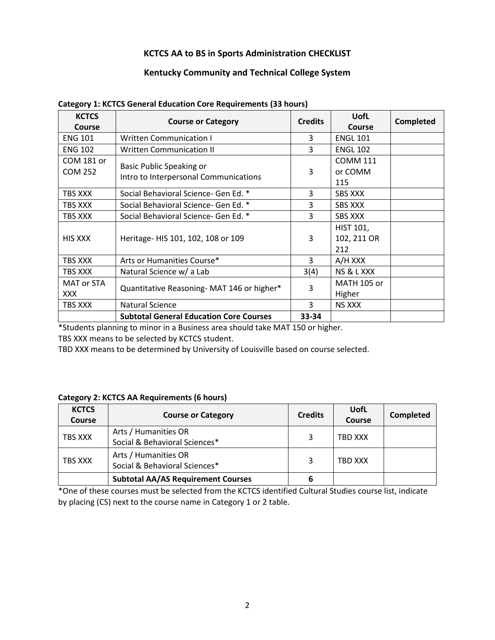## **KCTCS AA to BS in Sports Administration CHECKLIST**

## **Kentucky Community and Technical College System**

| <b>KCTCS</b><br>Course | <b>Course or Category</b>                      | <b>Credits</b> | <b>UofL</b><br>Course | <b>Completed</b> |
|------------------------|------------------------------------------------|----------------|-----------------------|------------------|
| <b>ENG 101</b>         | <b>Written Communication I</b>                 | 3              | <b>ENGL 101</b>       |                  |
| <b>ENG 102</b>         | <b>Written Communication II</b>                | 3              | <b>ENGL 102</b>       |                  |
| COM 181 or             |                                                | 3              | <b>COMM 111</b>       |                  |
| <b>COM 252</b>         | Basic Public Speaking or                       |                | or COMM               |                  |
|                        | Intro to Interpersonal Communications          |                | 115                   |                  |
| TBS XXX                | Social Behavioral Science- Gen Ed. *           | 3              | <b>SBS XXX</b>        |                  |
| TBS XXX                | Social Behavioral Science- Gen Ed. *           | 3              | <b>SBS XXX</b>        |                  |
| TBS XXX                | Social Behavioral Science- Gen Ed. *           | 3              | <b>SBS XXX</b>        |                  |
| <b>HIS XXX</b>         | Heritage- HIS 101, 102, 108 or 109             | 3              | <b>HIST 101,</b>      |                  |
|                        |                                                |                | 102, 211 OR           |                  |
|                        |                                                |                | 212                   |                  |
| TBS XXX                | Arts or Humanities Course*                     | 3              | A/H XXX               |                  |
| TBS XXX                | Natural Science w/ a Lab                       | 3(4)           | NS & L XXX            |                  |
| <b>MAT or STA</b>      |                                                | 3              | <b>MATH 105 or</b>    |                  |
| <b>XXX</b>             | Quantitative Reasoning- MAT 146 or higher*     |                | Higher                |                  |
| TBS XXX                | <b>Natural Science</b>                         | 3              | <b>NS XXX</b>         |                  |
|                        | <b>Subtotal General Education Core Courses</b> | 33-34          |                       |                  |

#### **Category 1: KCTCS General Education Core Requirements (33 hours)**

\*Students planning to minor in a Business area should take MAT 150 or higher.

TBS XXX means to be selected by KCTCS student.

TBD XXX means to be determined by University of Louisville based on course selected.

#### **Category 2: KCTCS AA Requirements (6 hours)**

| <b>KCTCS</b><br>Course | <b>Course or Category</b>                             | <b>Credits</b> | UofL<br><b>Course</b> | <b>Completed</b> |
|------------------------|-------------------------------------------------------|----------------|-----------------------|------------------|
| TBS XXX                | Arts / Humanities OR<br>Social & Behavioral Sciences* | 3              | TBD XXX               |                  |
| TBS XXX                | Arts / Humanities OR<br>Social & Behavioral Sciences* | 3              | TBD XXX               |                  |
|                        | <b>Subtotal AA/AS Requirement Courses</b>             | 6              |                       |                  |

\*One of these courses must be selected from the KCTCS identified Cultural Studies course list, indicate by placing (CS) next to the course name in Category 1 or 2 table.